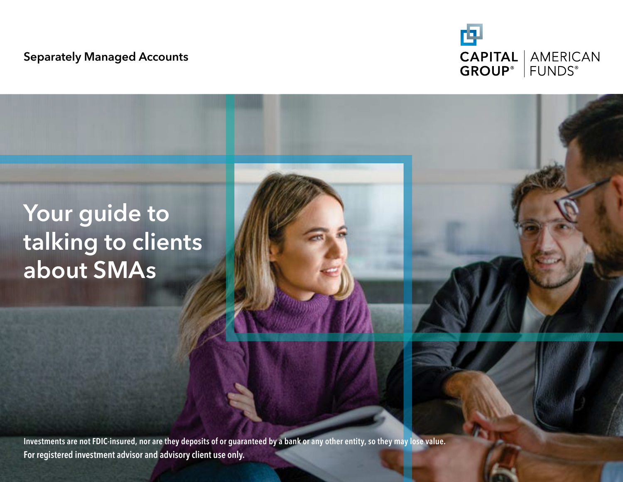#### Separately Managed Accounts



## Your guide to talking to clients about SMAs

Investments are not FDIC-insured, nor are they deposits of or guaranteed by a bank or any other entity, so they may lose value. For registered investment advisor and advisory client use only.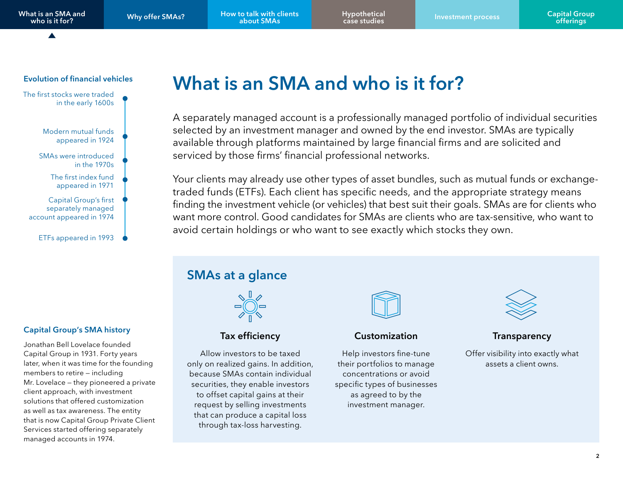[Why offer SMAs?](#page-3-0) How to talk with clients about SMAs

[Hypothetical](#page-5-0)

#### <span id="page-1-0"></span>Evolution of financial vehicles



#### Capital Group's SMA history

Jonathan Bell Lovelace founded Capital Group in 1931. Forty years later, when it was time for the founding members to retire — including Mr. Lovelace — they pioneered a private client approach, with investment solutions that offered customization as well as tax awareness. The entity that is now Capital Group Private Client Services started offering separately managed accounts in 1974.

## What is an SMA and who is it for?

A separately managed account is a professionally managed portfolio of individual securities selected by an investment manager and owned by the end investor. SMAs are typically available through platforms maintained by large financial firms and are solicited and serviced by those firms' financial professional networks.

Your clients may already use other types of asset bundles, such as mutual funds or exchangetraded funds (ETFs). Each client has specific needs, and the appropriate strategy means finding the investment vehicle (or vehicles) that best suit their goals. SMAs are for clients who want more control. Good candidates for SMAs are clients who are tax-sensitive, who want to avoid certain holdings or who want to see exactly which stocks they own.

#### SMAs at a glance



#### Tax efficiency

Allow investors to be taxed only on realized gains. In addition, because SMAs contain individual securities, they enable investors to offset capital gains at their request by selling investments that can produce a capital loss through tax-loss harvesting.



#### Customization

Help investors fine-tune their portfolios to manage concentrations or avoid specific types of businesses as agreed to by the investment manager.



#### **Transparency**

Offer visibility into exactly what assets a client owns.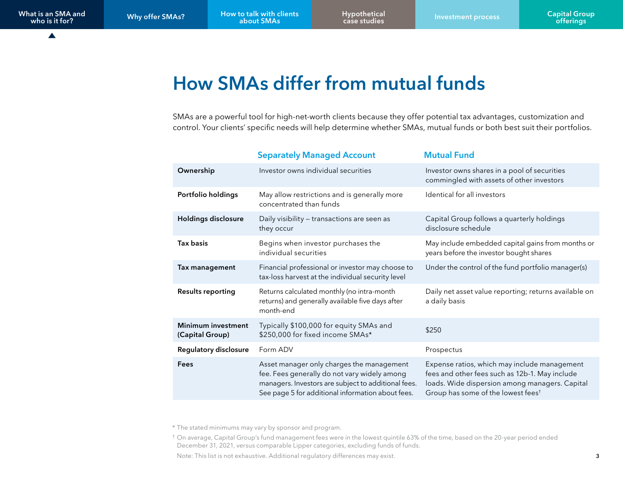$\blacktriangle$ 

## How SMAs differ from mutual funds

SMAs are a powerful tool for high-net-worth clients because they offer potential tax advantages, customization and control. Your clients' specific needs will help determine whether SMAs, mutual funds or both best suit their portfolios.

|                                              | <b>Separately Managed Account</b>                                                                                                                                                                     | <b>Mutual Fund</b>                                                                                                                                                                                 |  |
|----------------------------------------------|-------------------------------------------------------------------------------------------------------------------------------------------------------------------------------------------------------|----------------------------------------------------------------------------------------------------------------------------------------------------------------------------------------------------|--|
| Ownership                                    | Investor owns individual securities                                                                                                                                                                   | Investor owns shares in a pool of securities<br>commingled with assets of other investors                                                                                                          |  |
| Portfolio holdings                           | May allow restrictions and is generally more<br>concentrated than funds                                                                                                                               | Identical for all investors                                                                                                                                                                        |  |
| <b>Holdings disclosure</b>                   | Daily visibility - transactions are seen as<br>they occur                                                                                                                                             | Capital Group follows a quarterly holdings<br>disclosure schedule                                                                                                                                  |  |
| Tax basis                                    | Begins when investor purchases the<br>individual securities                                                                                                                                           | May include embedded capital gains from months or<br>years before the investor bought shares                                                                                                       |  |
| Tax management                               | Financial professional or investor may choose to<br>tax-loss harvest at the individual security level                                                                                                 | Under the control of the fund portfolio manager(s)                                                                                                                                                 |  |
| <b>Results reporting</b>                     | Returns calculated monthly (no intra-month<br>returns) and generally available five days after<br>month-end                                                                                           | Daily net asset value reporting; returns available on<br>a daily basis                                                                                                                             |  |
| <b>Minimum investment</b><br>(Capital Group) | Typically \$100,000 for equity SMAs and<br>\$250,000 for fixed income SMAs*                                                                                                                           | \$250                                                                                                                                                                                              |  |
| Regulatory disclosure                        | Form ADV                                                                                                                                                                                              | Prospectus                                                                                                                                                                                         |  |
| Fees                                         | Asset manager only charges the management<br>fee. Fees generally do not vary widely among<br>managers. Investors are subject to additional fees.<br>See page 5 for additional information about fees. | Expense ratios, which may include management<br>fees and other fees such as 12b-1. May include<br>loads. Wide dispersion among managers. Capital<br>Group has some of the lowest fees <sup>t</sup> |  |

\* The stated minimums may vary by sponsor and program.

† On average, Capital Group's fund management fees were in the lowest quintile 63% of the time, based on the 20-year period ended December 31, 2021, versus comparable Lipper categories, excluding funds of funds.

Note: This list is not exhaustive. Additional regulatory differences may exist.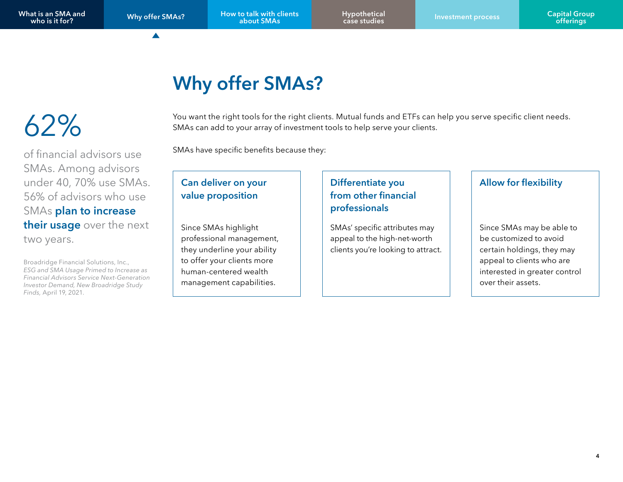▲

Why offer SMAs? How to talk with clients about SMAs

[Hypothetical](#page-5-0)

## Why offer SMAs?

# <span id="page-3-0"></span>62%

SMAs. Among advisors under 40, 70% use SMAs. 56% of advisors who use SMAs plan to increase their usage over the next two years.

Broadridge Financial Solutions, Inc., *ESG and SMA Usage Primed to Increase as Financial Advisors Service Next-Generation Investor Demand, New Broadridge Study Finds,* April 19, 2021.

#### You want the right tools for the right clients. Mutual funds and ETFs can help you serve specific client needs. SMAs can add to your array of investment tools to help serve your clients.

SMAs have specific benefits because they: of financial advisors use

#### Can deliver on your value proposition

Since SMAs highlight professional management, they underline your ability to offer your clients more human-centered wealth management capabilities.

#### Differentiate you from other financial professionals

SMAs' specific attributes may appeal to the high-net-worth clients you're looking to attract.

#### Allow for flexibility

Since SMAs may be able to be customized to avoid certain holdings, they may appeal to clients who are interested in greater control over their assets.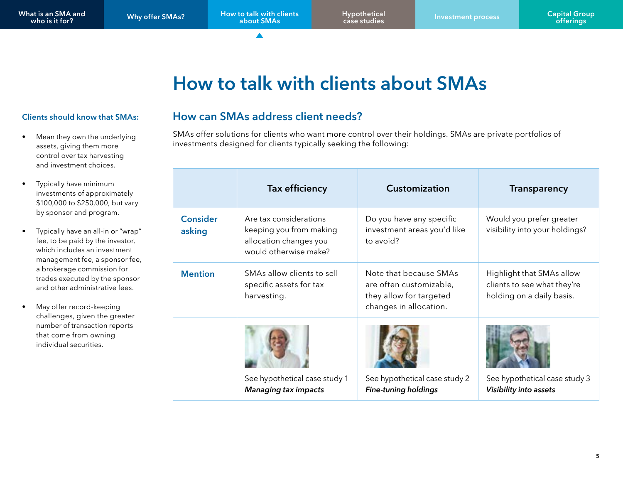## How to talk with clients about SMAs

#### <span id="page-4-0"></span>Clients should know that SMAs:

- Mean they own the underlying assets, giving them more control over tax harvesting and investment choices.
- Typically have minimum investments of approximately \$100,000 to \$250,000, but vary by sponsor and program.
- Typically have an all-in or "wrap" fee, to be paid by the investor, which includes an investment management fee, a sponsor fee, a brokerage commission for trades executed by the sponsor and other administrative fees.
- May offer record-keeping challenges, given the greater number of transaction reports that come from owning individual securities.

#### How can SMAs address client needs?

SMAs offer solutions for clients who want more control over their holdings. SMAs are private portfolios of investments designed for clients typically seeking the following:

|                           | <b>Tax efficiency</b>                                                                                | <b>Customization</b>                                                                                   | <b>Transparency</b>                                                                   |
|---------------------------|------------------------------------------------------------------------------------------------------|--------------------------------------------------------------------------------------------------------|---------------------------------------------------------------------------------------|
| <b>Consider</b><br>asking | Are tax considerations<br>keeping you from making<br>allocation changes you<br>would otherwise make? | Do you have any specific<br>investment areas you'd like<br>to avoid?                                   | Would you prefer greater<br>visibility into your holdings?                            |
| <b>Mention</b>            | SMAs allow clients to sell<br>specific assets for tax<br>harvesting.                                 | Note that because SMAs<br>are often customizable,<br>they allow for targeted<br>changes in allocation. | Highlight that SMAs allow<br>clients to see what they're<br>holding on a daily basis. |
|                           |                                                                                                      |                                                                                                        |                                                                                       |
|                           | See hypothetical case study 1<br><b>Managing tax impacts</b>                                         | See hypothetical case study 2<br><b>Fine-tuning holdings</b>                                           | See hypothetical case study 3<br>Visibility into assets                               |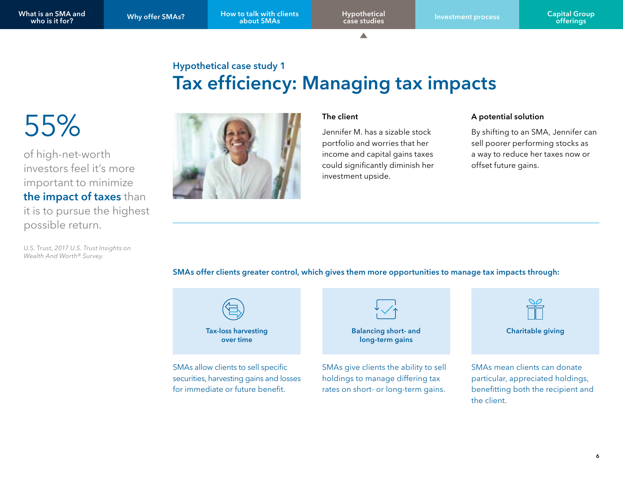△

### Hypothetical case study 1 Tax efficiency: Managing tax impacts

<span id="page-5-0"></span>55%

of high-net-worth investors feel it's more important to minimize the impact of taxes than it is to pursue the highest possible return.

U.S. Trust, *2017 U.S. Trust Insights on Wealth And Worth® Survey*.



#### The client

Jennifer M. has a sizable stock portfolio and worries that her income and capital gains taxes could significantly diminish her investment upside.

#### A potential solution

the client.

By shifting to an SMA, Jennifer can sell poorer performing stocks as a way to reduce her taxes now or offset future gains.

SMAs offer clients greater control, which gives them more opportunities to manage tax impacts through:

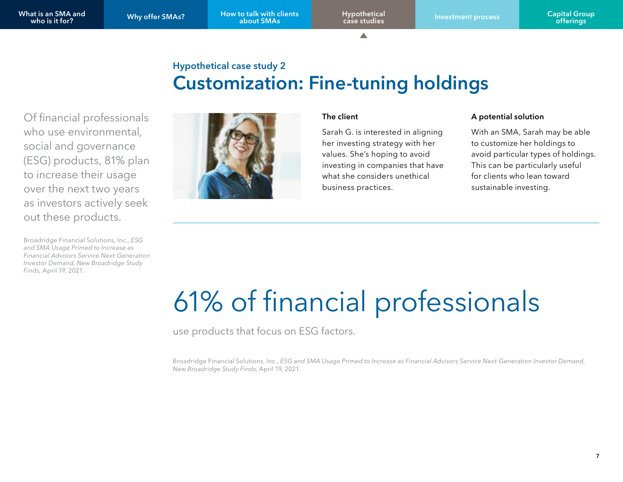[Why offer SMAs?](#page-3-0) How to talk with clients about SMAs

A

### Hypothetical case study 2 Customization: Fine-tuning holdings

Of financial professionals who use environmental, social and governance (ESG) products, 81% plan to increase their usage over the next two years as investors actively seek out these products.

Broadridge Financial Solutions, Inc., *ESG and SMA Usage Primed to Increase as Financial Advisors Service Next-Generation Investor Demand, New Broadridge Study Finds,* April 19, 2021.



#### The client

Sarah G. is interested in aligning her investing strategy with her values. She's hoping to avoid investing in companies that have what she considers unethical business practices.

#### A potential solution

With an SMA, Sarah may be able to customize her holdings to avoid particular types of holdings. This can be particularly useful for clients who lean toward sustainable investing.

# 61% of financial professionals

use products that focus on ESG factors.

Broadridge Financial Solutions, Inc., *ESG and SMA Usage Primed to Increase as Financial Advisors Service Next-Generation Investor Demand*, *New Broadridge Study Finds*, April 19, 2021.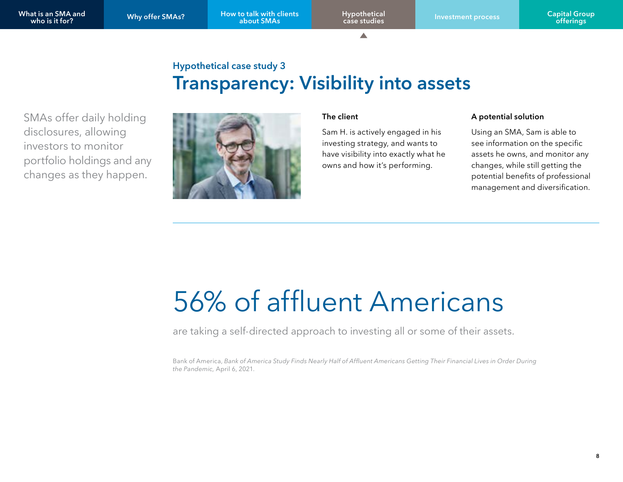△

### Hypothetical case study 3 Transparency: Visibility into assets

SMAs offer daily holding disclosures, allowing investors to monitor portfolio holdings and any changes as they happen.



#### The client

Sam H. is actively engaged in his investing strategy, and wants to have visibility into exactly what he owns and how it's performing.

#### A potential solution

Using an SMA, Sam is able to see information on the specific assets he owns, and monitor any changes, while still getting the potential benefits of professional management and diversification.

# 56% of affluent Americans

are taking a self-directed approach to investing all or some of their assets.

Bank of America, Bank of America Study Finds Nearly Half of Affluent Americans Getting Their Financial Lives in Order During *the Pandemic,* April 6, 2021.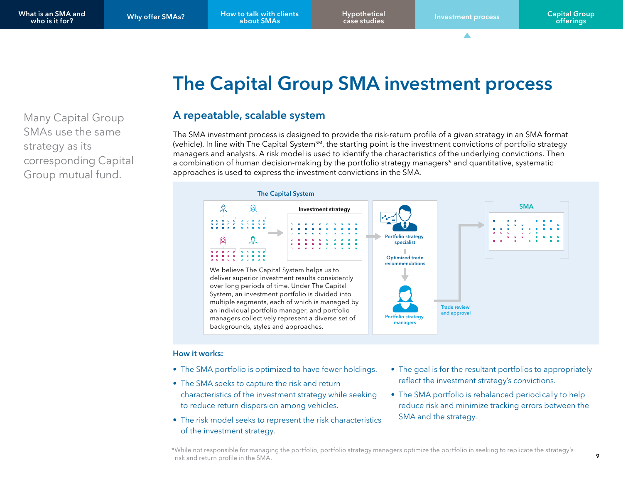## The Capital Group SMA investment process

<span id="page-8-0"></span>Many Capital Group SMAs use the same strategy as its corresponding Capital Group mutual fund.

#### A repeatable, scalable system

The SMA investment process is designed to provide the risk-return profile of a given strategy in an SMA format (vehicle). In line with The Capital System<sup>SM</sup>, the starting point is the investment convictions of portfolio strategy managers and analysts. A risk model is used to identify the characteristics of the underlying convictions. Then a combination of human decision-making by the portfolio strategy managers\* and quantitative, systematic approaches is used to express the investment convictions in the SMA.



#### How it works:

- The SMA portfolio is optimized to have fewer holdings.
- The SMA seeks to capture the risk and return characteristics of the investment strategy while seeking to reduce return dispersion among vehicles.
- The risk model seeks to represent the risk characteristics of the investment strategy.
- The goal is for the resultant portfolios to appropriately reflect the investment strategy's convictions.
- The SMA portfolio is rebalanced periodically to help reduce risk and minimize tracking errors between the SMA and the strategy.

<sup>\*</sup>While not responsible for managing the portfolio, portfolio strategy managers optimize the portfolio in seeking to replicate the strategy's risk and return profile in the SMA.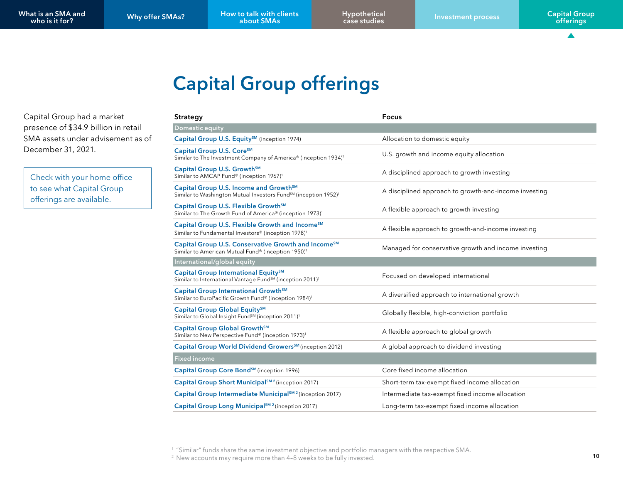[Hypothetical](#page-5-0)

 $\blacktriangle$ 

## Capital Group offerings

Capital Group had a market presence of \$34.9 billion in retail SMA assets under advisement as of December 31, 2021.

Check with your home office to see what Capital Group offerings are available.

| Strategy                                                                                                                                      | <b>Focus</b>                                          |
|-----------------------------------------------------------------------------------------------------------------------------------------------|-------------------------------------------------------|
| Domestic equity                                                                                                                               |                                                       |
| Capital Group U.S. Equity <sup>SM</sup> (inception 1974)                                                                                      | Allocation to domestic equity                         |
| Capital Group U.S. Core <sup>SM</sup><br>Similar to The Investment Company of America® (inception 1934) <sup>1</sup>                          | U.S. growth and income equity allocation              |
| Capital Group U.S. Growth <sup>SM</sup><br>Similar to AMCAP Fund® (inception 1967) <sup>1</sup>                                               | A disciplined approach to growth investing            |
| Capital Group U.S. Income and Growth <sup>5M</sup><br>Similar to Washington Mutual Investors Fund <sup>SM</sup> (inception 1952) <sup>1</sup> | A disciplined approach to growth-and-income investing |
| Capital Group U.S. Flexible Growth <sup>5M</sup><br>Similar to The Growth Fund of America® (inception 1973) <sup>1</sup>                      | A flexible approach to growth investing               |
| Capital Group U.S. Flexible Growth and Income <sup>SM</sup><br>Similar to Fundamental Investors® (inception 1978) <sup>1</sup>                | A flexible approach to growth-and-income investing    |
| Capital Group U.S. Conservative Growth and Income <sup>SM</sup><br>Similar to American Mutual Fund® (inception 1950) <sup>1</sup>             | Managed for conservative growth and income investing  |
| International/global equity                                                                                                                   |                                                       |
| Capital Group International Equity <sup>SM</sup><br>Similar to International Vantage Fund <sup>SM</sup> (inception 2011) <sup>1</sup>         | Focused on developed international                    |
| Capital Group International Growth <sup>SM</sup><br>Similar to EuroPacific Growth Fund® (inception 1984) <sup>1</sup>                         | A diversified approach to international growth        |
| Capital Group Global Equity <sup>SM</sup><br>Similar to Global Insight Fund <sup>SM</sup> (inception 2011) <sup>1</sup>                       | Globally flexible, high-conviction portfolio          |
| Capital Group Global Growth <sup>5M</sup><br>Similar to New Perspective Fund® (inception 1973) <sup>1</sup>                                   | A flexible approach to global growth                  |
| Capital Group World Dividend Growers <sup>SM</sup> (inception 2012)                                                                           | A global approach to dividend investing               |
| <b>Fixed income</b>                                                                                                                           |                                                       |
| Capital Group Core Bond <sup>SM</sup> (inception 1996)                                                                                        | Core fixed income allocation                          |
| Capital Group Short Municipal <sup>SM 2</sup> (inception 2017)                                                                                | Short-term tax-exempt fixed income allocation         |
| Capital Group Intermediate Municipal <sup>SM 2</sup> (inception 2017)                                                                         | Intermediate tax-exempt fixed income allocation       |
| Capital Group Long Municipal <sup>SM 2</sup> (inception 2017)                                                                                 | Long-term tax-exempt fixed income allocation          |

<sup>1</sup> "Similar" funds share the same investment objective and portfolio managers with the respective SMA.

<sup>2</sup> New accounts may require more than 4-8 weeks to be fully invested.